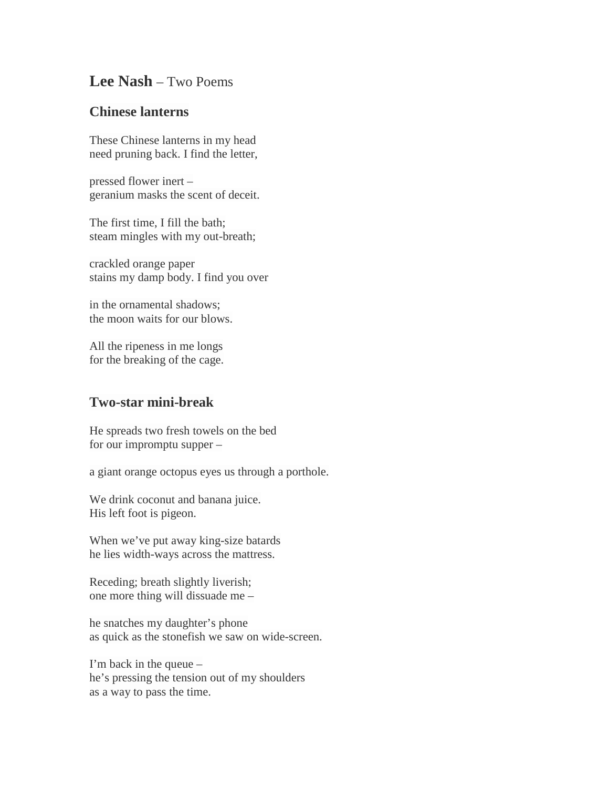## **Lee Nash** – Two Poems

## **Chinese lanterns**

These Chinese lanterns in my head need pruning back. I find the letter,

pressed flower inert – geranium masks the scent of deceit.

The first time, I fill the bath; steam mingles with my out-breath;

crackled orange paper stains my damp body. I find you over

in the ornamental shadows; the moon waits for our blows.

All the ripeness in me longs for the breaking of the cage.

## **Two-star mini-break**

He spreads two fresh towels on the bed for our impromptu supper –

a giant orange octopus eyes us through a porthole.

We drink coconut and banana juice. His left foot is pigeon.

When we've put away king-size batards he lies width-ways across the mattress.

Receding; breath slightly liverish; one more thing will dissuade me –

he snatches my daughter's phone as quick as the stonefish we saw on wide-screen.

I'm back in the queue – he's pressing the tension out of my shoulders as a way to pass the time.